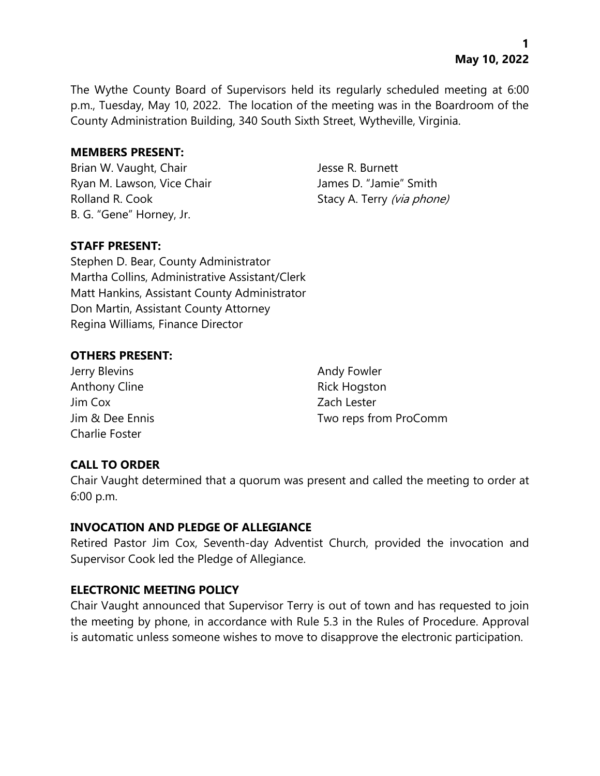The Wythe County Board of Supervisors held its regularly scheduled meeting at 6:00 p.m., Tuesday, May 10, 2022. The location of the meeting was in the Boardroom of the County Administration Building, 340 South Sixth Street, Wytheville, Virginia.

# **MEMBERS PRESENT:**

Brian W. Vaught, Chair Jesse R. Burnett Ryan M. Lawson, Vice Chair **James D. "Jamie"** Smith Rolland R. Cook Stacy A. Terry (via phone) B. G. "Gene" Horney, Jr.

# **STAFF PRESENT:**

Stephen D. Bear, County Administrator Martha Collins, Administrative Assistant/Clerk Matt Hankins, Assistant County Administrator Don Martin, Assistant County Attorney Regina Williams, Finance Director

# **OTHERS PRESENT:**

Jerry Blevins **Andy Fowler** Anthony Cline **Rick Hogston** Jim Cox Zach Lester Charlie Foster

Jim & Dee Ennis Two reps from ProComm

# **CALL TO ORDER**

Chair Vaught determined that a quorum was present and called the meeting to order at 6:00 p.m.

### **INVOCATION AND PLEDGE OF ALLEGIANCE**

Retired Pastor Jim Cox, Seventh-day Adventist Church, provided the invocation and Supervisor Cook led the Pledge of Allegiance.

# **ELECTRONIC MEETING POLICY**

Chair Vaught announced that Supervisor Terry is out of town and has requested to join the meeting by phone, in accordance with Rule 5.3 in the Rules of Procedure. Approval is automatic unless someone wishes to move to disapprove the electronic participation.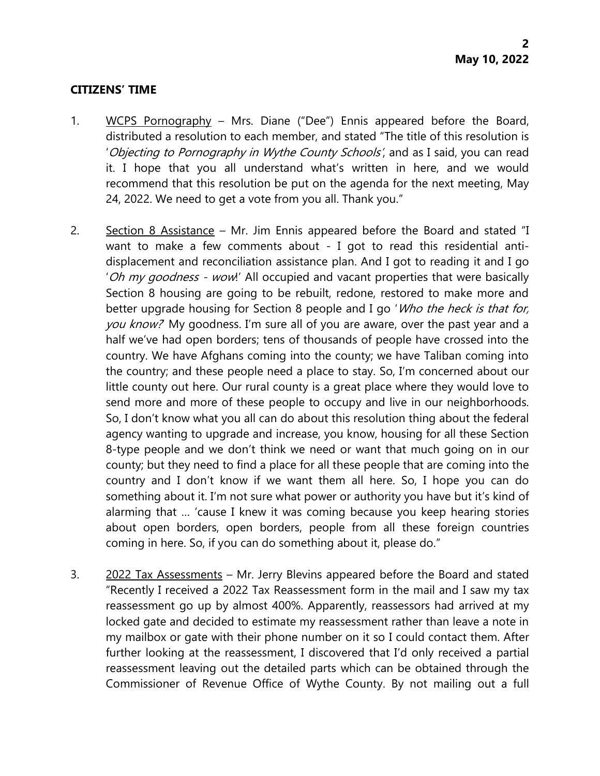### **CITIZENS' TIME**

- 1. WCPS Pornography Mrs. Diane ("Dee") Ennis appeared before the Board, distributed a resolution to each member, and stated "The title of this resolution is 'Objecting to Pornography in Wythe County Schools', and as I said, you can read it. I hope that you all understand what's written in here, and we would recommend that this resolution be put on the agenda for the next meeting, May 24, 2022. We need to get a vote from you all. Thank you."
- 2. Section 8 Assistance Mr. Jim Ennis appeared before the Board and stated "I want to make a few comments about - I got to read this residential antidisplacement and reconciliation assistance plan. And I got to reading it and I go 'Oh my goodness - wow!' All occupied and vacant properties that were basically Section 8 housing are going to be rebuilt, redone, restored to make more and better upgrade housing for Section 8 people and I go 'Who the heck is that for, you know? My goodness. I'm sure all of you are aware, over the past year and a half we've had open borders; tens of thousands of people have crossed into the country. We have Afghans coming into the county; we have Taliban coming into the country; and these people need a place to stay. So, I'm concerned about our little county out here. Our rural county is a great place where they would love to send more and more of these people to occupy and live in our neighborhoods. So, I don't know what you all can do about this resolution thing about the federal agency wanting to upgrade and increase, you know, housing for all these Section 8-type people and we don't think we need or want that much going on in our county; but they need to find a place for all these people that are coming into the country and I don't know if we want them all here. So, I hope you can do something about it. I'm not sure what power or authority you have but it's kind of alarming that … 'cause I knew it was coming because you keep hearing stories about open borders, open borders, people from all these foreign countries coming in here. So, if you can do something about it, please do."
- 3.  $2022$  Tax Assessments Mr. Jerry Blevins appeared before the Board and stated "Recently I received a 2022 Tax Reassessment form in the mail and I saw my tax reassessment go up by almost 400%. Apparently, reassessors had arrived at my locked gate and decided to estimate my reassessment rather than leave a note in my mailbox or gate with their phone number on it so I could contact them. After further looking at the reassessment, I discovered that I'd only received a partial reassessment leaving out the detailed parts which can be obtained through the Commissioner of Revenue Office of Wythe County. By not mailing out a full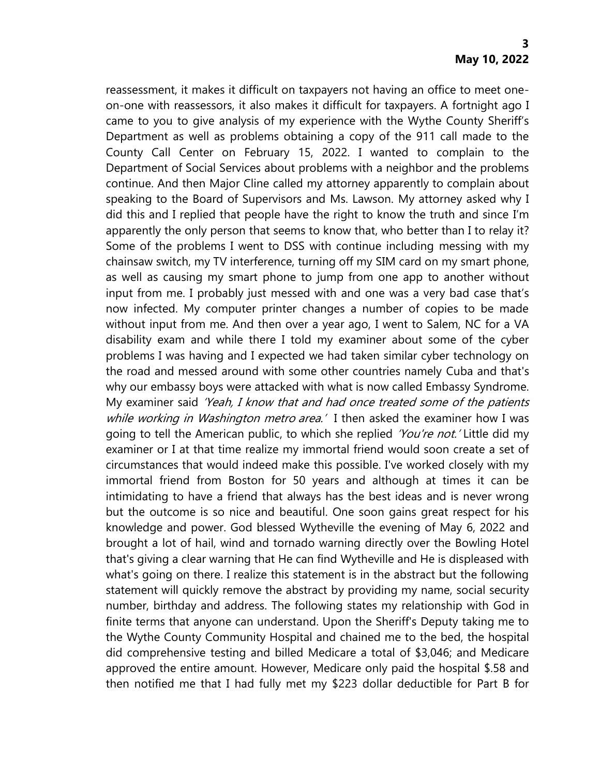reassessment, it makes it difficult on taxpayers not having an office to meet oneon-one with reassessors, it also makes it difficult for taxpayers. A fortnight ago I came to you to give analysis of my experience with the Wythe County Sheriff's Department as well as problems obtaining a copy of the 911 call made to the County Call Center on February 15, 2022. I wanted to complain to the Department of Social Services about problems with a neighbor and the problems continue. And then Major Cline called my attorney apparently to complain about speaking to the Board of Supervisors and Ms. Lawson. My attorney asked why I did this and I replied that people have the right to know the truth and since I'm apparently the only person that seems to know that, who better than I to relay it? Some of the problems I went to DSS with continue including messing with my chainsaw switch, my TV interference, turning off my SIM card on my smart phone, as well as causing my smart phone to jump from one app to another without input from me. I probably just messed with and one was a very bad case that's now infected. My computer printer changes a number of copies to be made without input from me. And then over a year ago, I went to Salem, NC for a VA disability exam and while there I told my examiner about some of the cyber problems I was having and I expected we had taken similar cyber technology on the road and messed around with some other countries namely Cuba and that's why our embassy boys were attacked with what is now called Embassy Syndrome. My examiner said 'Yeah, I know that and had once treated some of the patients while working in Washington metro area.' I then asked the examiner how I was going to tell the American public, to which she replied *'You're not.'* Little did my examiner or I at that time realize my immortal friend would soon create a set of circumstances that would indeed make this possible. I've worked closely with my immortal friend from Boston for 50 years and although at times it can be intimidating to have a friend that always has the best ideas and is never wrong but the outcome is so nice and beautiful. One soon gains great respect for his knowledge and power. God blessed Wytheville the evening of May 6, 2022 and brought a lot of hail, wind and tornado warning directly over the Bowling Hotel that's giving a clear warning that He can find Wytheville and He is displeased with what's going on there. I realize this statement is in the abstract but the following statement will quickly remove the abstract by providing my name, social security number, birthday and address. The following states my relationship with God in finite terms that anyone can understand. Upon the Sheriff's Deputy taking me to the Wythe County Community Hospital and chained me to the bed, the hospital did comprehensive testing and billed Medicare a total of \$3,046; and Medicare approved the entire amount. However, Medicare only paid the hospital \$.58 and then notified me that I had fully met my \$223 dollar deductible for Part B for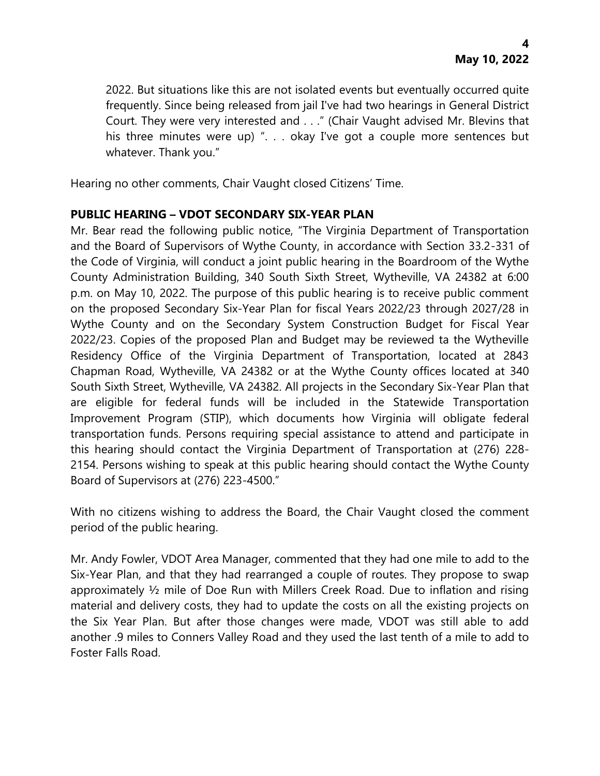2022. But situations like this are not isolated events but eventually occurred quite frequently. Since being released from jail I've had two hearings in General District Court. They were very interested and . . ." (Chair Vaught advised Mr. Blevins that his three minutes were up) ". . . okay I've got a couple more sentences but whatever. Thank you."

Hearing no other comments, Chair Vaught closed Citizens' Time.

# **PUBLIC HEARING – VDOT SECONDARY SIX-YEAR PLAN**

Mr. Bear read the following public notice, "The Virginia Department of Transportation and the Board of Supervisors of Wythe County, in accordance with Section 33.2-331 of the Code of Virginia, will conduct a joint public hearing in the Boardroom of the Wythe County Administration Building, 340 South Sixth Street, Wytheville, VA 24382 at 6:00 p.m. on May 10, 2022. The purpose of this public hearing is to receive public comment on the proposed Secondary Six-Year Plan for fiscal Years 2022/23 through 2027/28 in Wythe County and on the Secondary System Construction Budget for Fiscal Year 2022/23. Copies of the proposed Plan and Budget may be reviewed ta the Wytheville Residency Office of the Virginia Department of Transportation, located at 2843 Chapman Road, Wytheville, VA 24382 or at the Wythe County offices located at 340 South Sixth Street, Wytheville, VA 24382. All projects in the Secondary Six-Year Plan that are eligible for federal funds will be included in the Statewide Transportation Improvement Program (STIP), which documents how Virginia will obligate federal transportation funds. Persons requiring special assistance to attend and participate in this hearing should contact the Virginia Department of Transportation at (276) 228- 2154. Persons wishing to speak at this public hearing should contact the Wythe County Board of Supervisors at (276) 223-4500."

With no citizens wishing to address the Board, the Chair Vaught closed the comment period of the public hearing.

Mr. Andy Fowler, VDOT Area Manager, commented that they had one mile to add to the Six-Year Plan, and that they had rearranged a couple of routes. They propose to swap approximately ½ mile of Doe Run with Millers Creek Road. Due to inflation and rising material and delivery costs, they had to update the costs on all the existing projects on the Six Year Plan. But after those changes were made, VDOT was still able to add another .9 miles to Conners Valley Road and they used the last tenth of a mile to add to Foster Falls Road.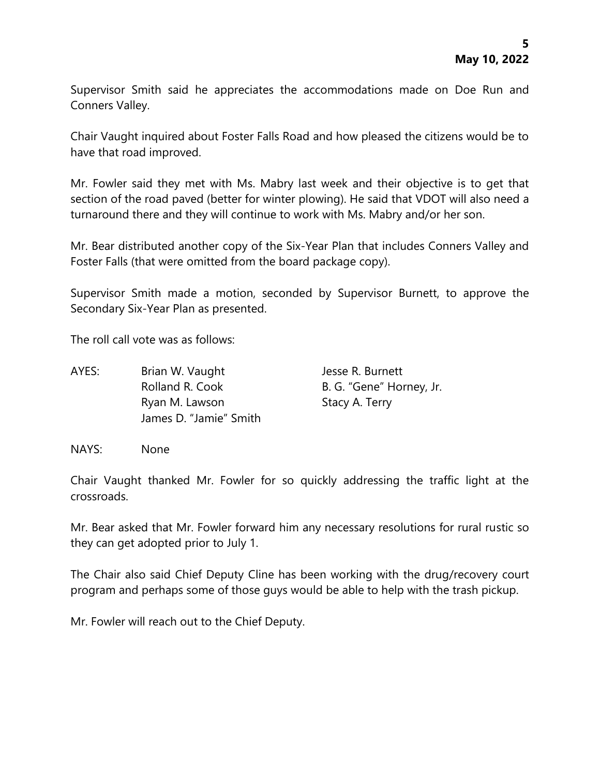Supervisor Smith said he appreciates the accommodations made on Doe Run and Conners Valley.

Chair Vaught inquired about Foster Falls Road and how pleased the citizens would be to have that road improved.

Mr. Fowler said they met with Ms. Mabry last week and their objective is to get that section of the road paved (better for winter plowing). He said that VDOT will also need a turnaround there and they will continue to work with Ms. Mabry and/or her son.

Mr. Bear distributed another copy of the Six-Year Plan that includes Conners Valley and Foster Falls (that were omitted from the board package copy).

Supervisor Smith made a motion, seconded by Supervisor Burnett, to approve the Secondary Six-Year Plan as presented.

The roll call vote was as follows:

| AYES: | Brian W. Vaught        | Jesse R. Burnett         |
|-------|------------------------|--------------------------|
|       | Rolland R. Cook        | B. G. "Gene" Horney, Jr. |
|       | Ryan M. Lawson         | Stacy A. Terry           |
|       | James D. "Jamie" Smith |                          |

NAYS: None

Chair Vaught thanked Mr. Fowler for so quickly addressing the traffic light at the crossroads.

Mr. Bear asked that Mr. Fowler forward him any necessary resolutions for rural rustic so they can get adopted prior to July 1.

The Chair also said Chief Deputy Cline has been working with the drug/recovery court program and perhaps some of those guys would be able to help with the trash pickup.

Mr. Fowler will reach out to the Chief Deputy.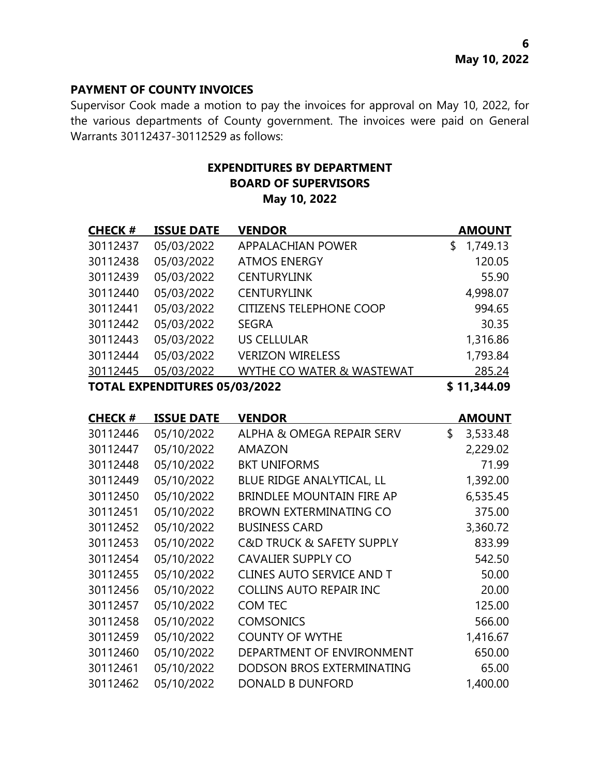### **PAYMENT OF COUNTY INVOICES**

Supervisor Cook made a motion to pay the invoices for approval on May 10, 2022, for the various departments of County government. The invoices were paid on General Warrants 30112437-30112529 as follows:

# **EXPENDITURES BY DEPARTMENT BOARD OF SUPERVISORS May 10, 2022**

| <b>CHECK#</b>                        | <b>ISSUE DATE</b> | <b>VENDOR</b>                  | <b>AMOUNT</b>  |
|--------------------------------------|-------------------|--------------------------------|----------------|
| 30112437                             | 05/03/2022        | <b>APPALACHIAN POWER</b>       | 1,749.13<br>S. |
| 30112438                             | 05/03/2022        | <b>ATMOS ENERGY</b>            | 120.05         |
| 30112439                             | 05/03/2022        | <b>CENTURYLINK</b>             | 55.90          |
| 30112440                             | 05/03/2022        | <b>CENTURYLINK</b>             | 4,998.07       |
| 30112441                             | 05/03/2022        | <b>CITIZENS TELEPHONE COOP</b> | 994.65         |
| 30112442                             | 05/03/2022        | <b>SEGRA</b>                   | 30.35          |
| 30112443                             | 05/03/2022        | <b>US CELLULAR</b>             | 1,316.86       |
| 30112444                             | 05/03/2022        | <b>VERIZON WIRELESS</b>        | 1,793.84       |
| 30112445                             | 05/03/2022        | WYTHE CO WATER & WASTEWAT      | 285.24         |
| <b>TOTAL EXPENDITURES 05/03/2022</b> |                   |                                | \$11,344.09    |

**CHECK # ISSUE DATE VENDOR AMOUNT** 05/10/2022 ALPHA & OMEGA REPAIR SERV \$ 3,533.48 05/10/2022 AMAZON 2,229.02 05/10/2022 BKT UNIFORMS 71.99 05/10/2022 BLUE RIDGE ANALYTICAL, LL 1,392.00 05/10/2022 BRINDLEE MOUNTAIN FIRE AP 6,535.45 05/10/2022 BROWN EXTERMINATING CO 375.00 30112452 05/10/2022 BUSINESS CARD 3,360.72 05/10/2022 C&D TRUCK & SAFETY SUPPLY 833.99 05/10/2022 CAVALIER SUPPLY CO 542.50 05/10/2022 CLINES AUTO SERVICE AND T 50.00 05/10/2022 COLLINS AUTO REPAIR INC 20.00 05/10/2022 COM TEC 125.00 05/10/2022 COMSONICS 566.00 30112459 05/10/2022 COUNTY OF WYTHE 1,416.67 05/10/2022 DEPARTMENT OF ENVIRONMENT 650.00 05/10/2022 DODSON BROS EXTERMINATING 65.00 05/10/2022 DONALD B DUNFORD 1,400.00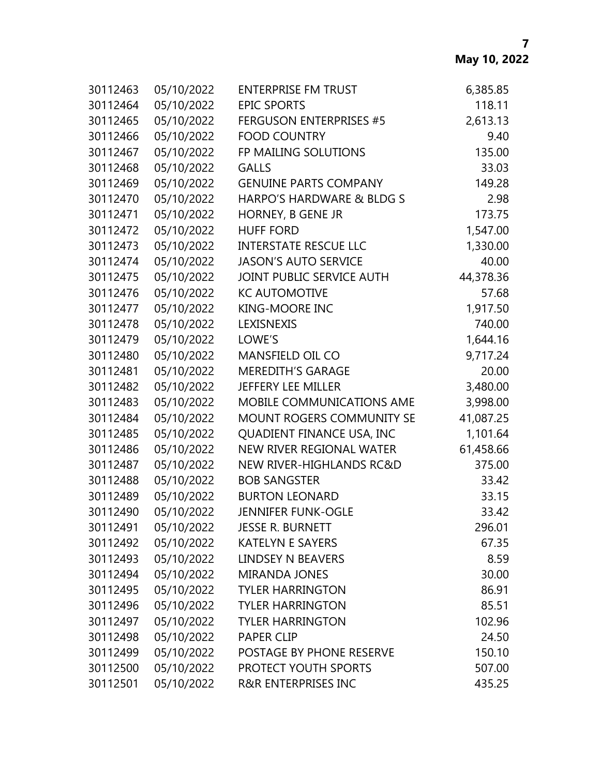| 30112463 | 05/10/2022 | <b>ENTERPRISE FM TRUST</b>     | 6,385.85  |
|----------|------------|--------------------------------|-----------|
| 30112464 | 05/10/2022 | <b>EPIC SPORTS</b>             | 118.11    |
| 30112465 | 05/10/2022 | <b>FERGUSON ENTERPRISES #5</b> | 2,613.13  |
| 30112466 | 05/10/2022 | <b>FOOD COUNTRY</b>            | 9.40      |
| 30112467 | 05/10/2022 | FP MAILING SOLUTIONS           | 135.00    |
| 30112468 | 05/10/2022 | <b>GALLS</b>                   | 33.03     |
| 30112469 | 05/10/2022 | <b>GENUINE PARTS COMPANY</b>   | 149.28    |
| 30112470 | 05/10/2022 | HARPO'S HARDWARE & BLDG S      | 2.98      |
| 30112471 | 05/10/2022 | HORNEY, B GENE JR              | 173.75    |
| 30112472 | 05/10/2022 | <b>HUFF FORD</b>               | 1,547.00  |
| 30112473 | 05/10/2022 | <b>INTERSTATE RESCUE LLC</b>   | 1,330.00  |
| 30112474 | 05/10/2022 | <b>JASON'S AUTO SERVICE</b>    | 40.00     |
| 30112475 | 05/10/2022 | JOINT PUBLIC SERVICE AUTH      | 44,378.36 |
| 30112476 | 05/10/2022 | <b>KC AUTOMOTIVE</b>           | 57.68     |
| 30112477 | 05/10/2022 | <b>KING-MOORE INC</b>          | 1,917.50  |
| 30112478 | 05/10/2022 | LEXISNEXIS                     | 740.00    |
| 30112479 | 05/10/2022 | LOWE'S                         | 1,644.16  |
| 30112480 | 05/10/2022 | <b>MANSFIELD OIL CO</b>        | 9,717.24  |
| 30112481 | 05/10/2022 | <b>MEREDITH'S GARAGE</b>       | 20.00     |
| 30112482 | 05/10/2022 | <b>JEFFERY LEE MILLER</b>      | 3,480.00  |
| 30112483 | 05/10/2022 | MOBILE COMMUNICATIONS AME      | 3,998.00  |
| 30112484 | 05/10/2022 | MOUNT ROGERS COMMUNITY SE      | 41,087.25 |
| 30112485 | 05/10/2022 | QUADIENT FINANCE USA, INC      | 1,101.64  |
| 30112486 | 05/10/2022 | NEW RIVER REGIONAL WATER       | 61,458.66 |
| 30112487 | 05/10/2022 | NEW RIVER-HIGHLANDS RC&D       | 375.00    |
| 30112488 | 05/10/2022 | <b>BOB SANGSTER</b>            | 33.42     |
| 30112489 | 05/10/2022 | <b>BURTON LEONARD</b>          | 33.15     |
| 30112490 | 05/10/2022 | <b>JENNIFER FUNK-OGLE</b>      | 33.42     |
| 30112491 | 05/10/2022 | <b>JESSE R. BURNETT</b>        | 296.01    |
| 30112492 | 05/10/2022 | <b>KATELYN E SAYERS</b>        | 67.35     |
| 30112493 | 05/10/2022 | LINDSEY N BEAVERS              | 8.59      |
| 30112494 | 05/10/2022 | <b>MIRANDA JONES</b>           | 30.00     |
| 30112495 | 05/10/2022 | <b>TYLER HARRINGTON</b>        | 86.91     |
| 30112496 | 05/10/2022 | <b>TYLER HARRINGTON</b>        | 85.51     |
| 30112497 | 05/10/2022 | <b>TYLER HARRINGTON</b>        | 102.96    |
| 30112498 | 05/10/2022 | <b>PAPER CLIP</b>              | 24.50     |
| 30112499 | 05/10/2022 | POSTAGE BY PHONE RESERVE       | 150.10    |
| 30112500 | 05/10/2022 | PROTECT YOUTH SPORTS           | 507.00    |
| 30112501 | 05/10/2022 | <b>R&amp;R ENTERPRISES INC</b> | 435.25    |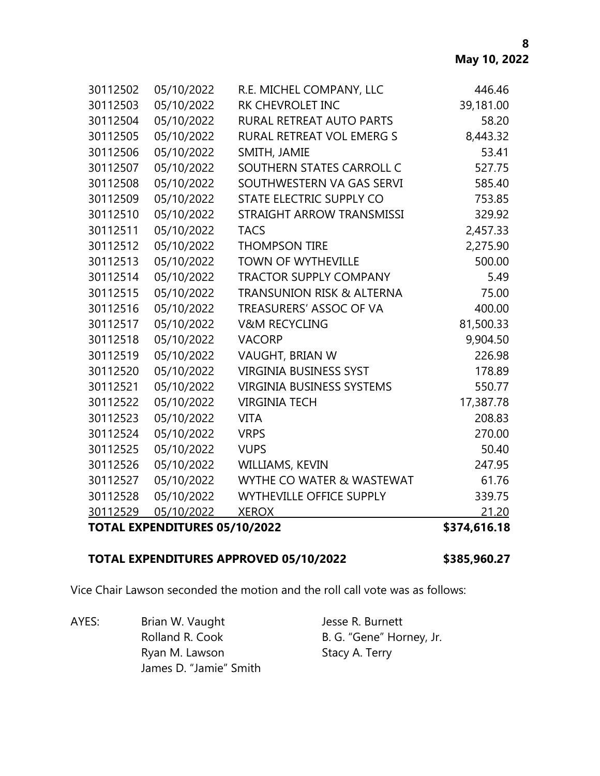| <b>TOTAL EXPENDITURES 05/10/2022</b> |            |                                      | \$374,616.18 |
|--------------------------------------|------------|--------------------------------------|--------------|
| 30112529                             | 05/10/2022 | <b>XEROX</b>                         | 21.20        |
| 30112528                             | 05/10/2022 | <b>WYTHEVILLE OFFICE SUPPLY</b>      | 339.75       |
| 30112527                             | 05/10/2022 | WYTHE CO WATER & WASTEWAT            | 61.76        |
| 30112526                             | 05/10/2022 | WILLIAMS, KEVIN                      | 247.95       |
| 30112525                             | 05/10/2022 | <b>VUPS</b>                          | 50.40        |
| 30112524                             | 05/10/2022 | <b>VRPS</b>                          | 270.00       |
| 30112523                             | 05/10/2022 | <b>VITA</b>                          | 208.83       |
| 30112522                             | 05/10/2022 | <b>VIRGINIA TECH</b>                 | 17,387.78    |
| 30112521                             | 05/10/2022 | <b>VIRGINIA BUSINESS SYSTEMS</b>     | 550.77       |
| 30112520                             | 05/10/2022 | <b>VIRGINIA BUSINESS SYST</b>        | 178.89       |
| 30112519                             | 05/10/2022 | VAUGHT, BRIAN W                      | 226.98       |
| 30112518                             | 05/10/2022 | <b>VACORP</b>                        | 9,904.50     |
| 30112517                             | 05/10/2022 | <b>V&amp;M RECYCLING</b>             | 81,500.33    |
| 30112516                             | 05/10/2022 | TREASURERS' ASSOC OF VA              | 400.00       |
| 30112515                             | 05/10/2022 | <b>TRANSUNION RISK &amp; ALTERNA</b> | 75.00        |
| 30112514                             | 05/10/2022 | <b>TRACTOR SUPPLY COMPANY</b>        | 5.49         |
| 30112513                             | 05/10/2022 | <b>TOWN OF WYTHEVILLE</b>            | 500.00       |
| 30112512                             | 05/10/2022 | <b>THOMPSON TIRE</b>                 | 2,275.90     |
| 30112511                             | 05/10/2022 | <b>TACS</b>                          | 2,457.33     |
| 30112510                             | 05/10/2022 | STRAIGHT ARROW TRANSMISSI            | 329.92       |
| 30112509                             | 05/10/2022 | STATE ELECTRIC SUPPLY CO             | 753.85       |
| 30112508                             | 05/10/2022 | SOUTHWESTERN VA GAS SERVI            | 585.40       |
| 30112507                             | 05/10/2022 | SOUTHERN STATES CARROLL C            | 527.75       |
| 30112506                             | 05/10/2022 | SMITH, JAMIE                         | 53.41        |
| 30112505                             | 05/10/2022 | RURAL RETREAT VOL EMERG S            | 8,443.32     |
| 30112504                             | 05/10/2022 | RURAL RETREAT AUTO PARTS             | 58.20        |
| 30112503                             | 05/10/2022 | <b>RK CHEVROLET INC</b>              | 39,181.00    |
| 30112502                             | 05/10/2022 | R.E. MICHEL COMPANY, LLC             | 446.46       |

# **TOTAL EXPENDITURES APPROVED 05/10/2022 \$385,960.27**

Vice Chair Lawson seconded the motion and the roll call vote was as follows:

AYES: Brian W. Vaught Jesse R. Burnett Ryan M. Lawson Stacy A. Terry James D. "Jamie" Smith

Rolland R. Cook B. G. "Gene" Horney, Jr.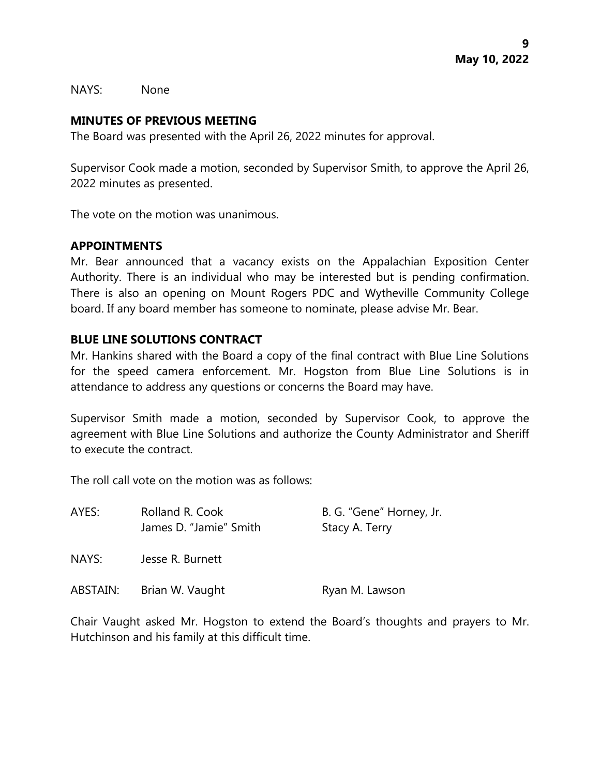NAYS: None

### **MINUTES OF PREVIOUS MEETING**

The Board was presented with the April 26, 2022 minutes for approval.

Supervisor Cook made a motion, seconded by Supervisor Smith, to approve the April 26, 2022 minutes as presented.

The vote on the motion was unanimous.

# **APPOINTMENTS**

Mr. Bear announced that a vacancy exists on the Appalachian Exposition Center Authority. There is an individual who may be interested but is pending confirmation. There is also an opening on Mount Rogers PDC and Wytheville Community College board. If any board member has someone to nominate, please advise Mr. Bear.

# **BLUE LINE SOLUTIONS CONTRACT**

Mr. Hankins shared with the Board a copy of the final contract with Blue Line Solutions for the speed camera enforcement. Mr. Hogston from Blue Line Solutions is in attendance to address any questions or concerns the Board may have.

Supervisor Smith made a motion, seconded by Supervisor Cook, to approve the agreement with Blue Line Solutions and authorize the County Administrator and Sheriff to execute the contract.

The roll call vote on the motion was as follows:

| AYES:    | Rolland R. Cook        | B. G. "Gene" Horney, Jr. |  |
|----------|------------------------|--------------------------|--|
|          | James D. "Jamie" Smith | Stacy A. Terry           |  |
| NAYS:    | Jesse R. Burnett       |                          |  |
| ABSTAIN: | Brian W. Vaught        | Ryan M. Lawson           |  |

Chair Vaught asked Mr. Hogston to extend the Board's thoughts and prayers to Mr. Hutchinson and his family at this difficult time.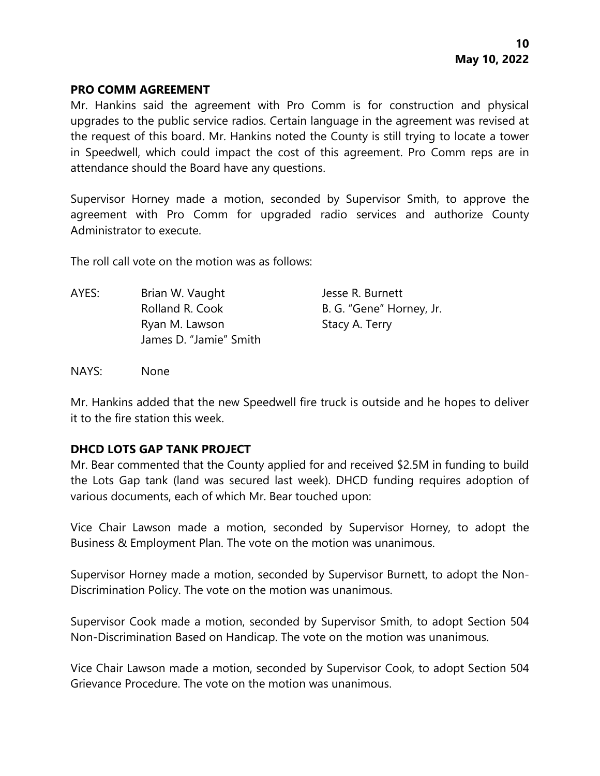### **PRO COMM AGREEMENT**

Mr. Hankins said the agreement with Pro Comm is for construction and physical upgrades to the public service radios. Certain language in the agreement was revised at the request of this board. Mr. Hankins noted the County is still trying to locate a tower in Speedwell, which could impact the cost of this agreement. Pro Comm reps are in attendance should the Board have any questions.

Supervisor Horney made a motion, seconded by Supervisor Smith, to approve the agreement with Pro Comm for upgraded radio services and authorize County Administrator to execute.

The roll call vote on the motion was as follows:

AYES: Brian W. Vaught Jesse R. Burnett Rolland R. Cook B. G. "Gene" Horney, Jr. Ryan M. Lawson Stacy A. Terry James D. "Jamie" Smith

NAYS: None

Mr. Hankins added that the new Speedwell fire truck is outside and he hopes to deliver it to the fire station this week.

# **DHCD LOTS GAP TANK PROJECT**

Mr. Bear commented that the County applied for and received \$2.5M in funding to build the Lots Gap tank (land was secured last week). DHCD funding requires adoption of various documents, each of which Mr. Bear touched upon:

Vice Chair Lawson made a motion, seconded by Supervisor Horney, to adopt the Business & Employment Plan. The vote on the motion was unanimous.

Supervisor Horney made a motion, seconded by Supervisor Burnett, to adopt the Non-Discrimination Policy. The vote on the motion was unanimous.

Supervisor Cook made a motion, seconded by Supervisor Smith, to adopt Section 504 Non-Discrimination Based on Handicap. The vote on the motion was unanimous.

Vice Chair Lawson made a motion, seconded by Supervisor Cook, to adopt Section 504 Grievance Procedure. The vote on the motion was unanimous.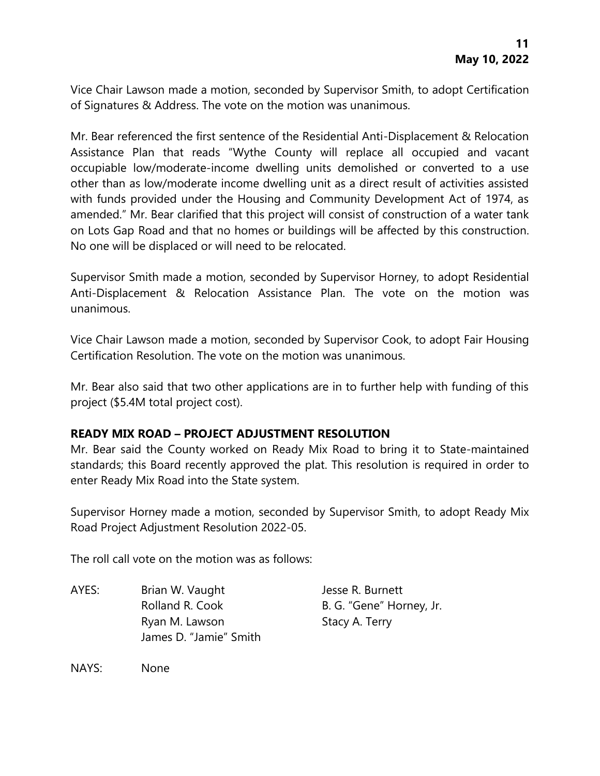Vice Chair Lawson made a motion, seconded by Supervisor Smith, to adopt Certification of Signatures & Address. The vote on the motion was unanimous.

Mr. Bear referenced the first sentence of the Residential Anti-Displacement & Relocation Assistance Plan that reads "Wythe County will replace all occupied and vacant occupiable low/moderate-income dwelling units demolished or converted to a use other than as low/moderate income dwelling unit as a direct result of activities assisted with funds provided under the Housing and Community Development Act of 1974, as amended." Mr. Bear clarified that this project will consist of construction of a water tank on Lots Gap Road and that no homes or buildings will be affected by this construction. No one will be displaced or will need to be relocated.

Supervisor Smith made a motion, seconded by Supervisor Horney, to adopt Residential Anti-Displacement & Relocation Assistance Plan. The vote on the motion was unanimous.

Vice Chair Lawson made a motion, seconded by Supervisor Cook, to adopt Fair Housing Certification Resolution. The vote on the motion was unanimous.

Mr. Bear also said that two other applications are in to further help with funding of this project (\$5.4M total project cost).

# **READY MIX ROAD – PROJECT ADJUSTMENT RESOLUTION**

Mr. Bear said the County worked on Ready Mix Road to bring it to State-maintained standards; this Board recently approved the plat. This resolution is required in order to enter Ready Mix Road into the State system.

Supervisor Horney made a motion, seconded by Supervisor Smith, to adopt Ready Mix Road Project Adjustment Resolution 2022-05.

The roll call vote on the motion was as follows:

AYES: Brian W. Vaught Jesse R. Burnett Rolland R. Cook B. G. "Gene" Horney, Jr. Ryan M. Lawson Stacy A. Terry James D. "Jamie" Smith

NAYS: None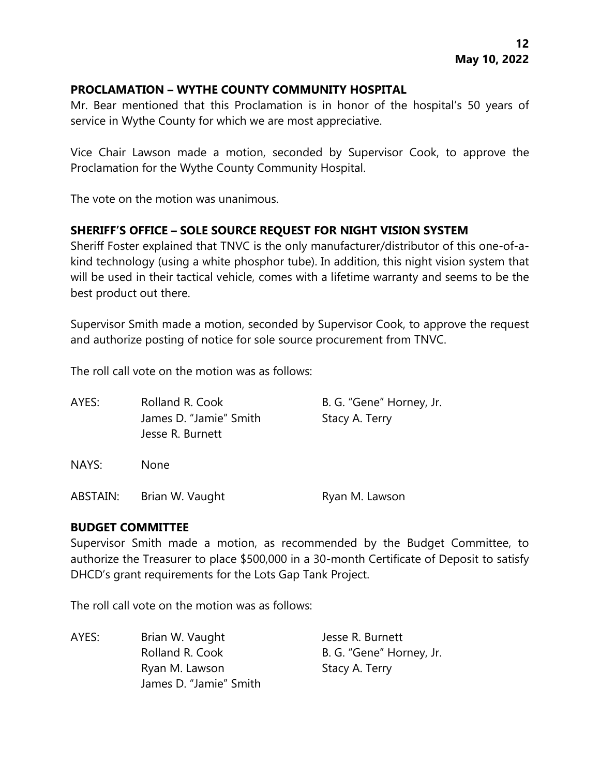# **PROCLAMATION – WYTHE COUNTY COMMUNITY HOSPITAL**

Mr. Bear mentioned that this Proclamation is in honor of the hospital's 50 years of service in Wythe County for which we are most appreciative.

Vice Chair Lawson made a motion, seconded by Supervisor Cook, to approve the Proclamation for the Wythe County Community Hospital.

The vote on the motion was unanimous.

# **SHERIFF'S OFFICE – SOLE SOURCE REQUEST FOR NIGHT VISION SYSTEM**

Sheriff Foster explained that TNVC is the only manufacturer/distributor of this one-of-akind technology (using a white phosphor tube). In addition, this night vision system that will be used in their tactical vehicle, comes with a lifetime warranty and seems to be the best product out there.

Supervisor Smith made a motion, seconded by Supervisor Cook, to approve the request and authorize posting of notice for sole source procurement from TNVC.

The roll call vote on the motion was as follows:

| AYES:    | Rolland R. Cook        | B. G. "Gene" Horney, Jr. |  |
|----------|------------------------|--------------------------|--|
|          | James D. "Jamie" Smith | Stacy A. Terry           |  |
|          | Jesse R. Burnett       |                          |  |
| NAYS:    | <b>None</b>            |                          |  |
| ABSTAIN: | Brian W. Vaught        | Ryan M. Lawson           |  |

### **BUDGET COMMITTEE**

Supervisor Smith made a motion, as recommended by the Budget Committee, to authorize the Treasurer to place \$500,000 in a 30-month Certificate of Deposit to satisfy DHCD's grant requirements for the Lots Gap Tank Project.

The roll call vote on the motion was as follows:

AYES: Brian W. Vaught Jesse R. Burnett Rolland R. Cook B. G. "Gene" Horney, Jr. Ryan M. Lawson Stacy A. Terry James D. "Jamie" Smith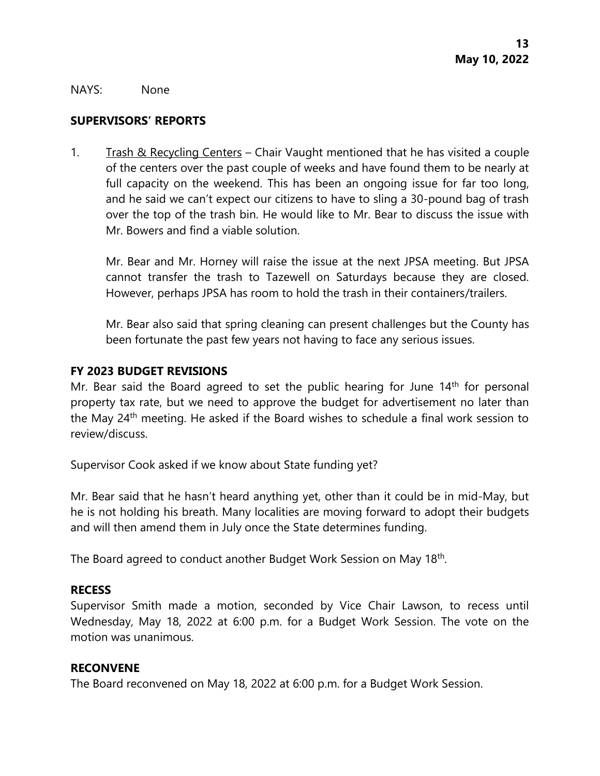#### NAYS: None

### **SUPERVISORS' REPORTS**

1. Trash & Recycling Centers – Chair Vaught mentioned that he has visited a couple of the centers over the past couple of weeks and have found them to be nearly at full capacity on the weekend. This has been an ongoing issue for far too long, and he said we can't expect our citizens to have to sling a 30-pound bag of trash over the top of the trash bin. He would like to Mr. Bear to discuss the issue with Mr. Bowers and find a viable solution.

Mr. Bear and Mr. Horney will raise the issue at the next JPSA meeting. But JPSA cannot transfer the trash to Tazewell on Saturdays because they are closed. However, perhaps JPSA has room to hold the trash in their containers/trailers.

Mr. Bear also said that spring cleaning can present challenges but the County has been fortunate the past few years not having to face any serious issues.

### **FY 2023 BUDGET REVISIONS**

Mr. Bear said the Board agreed to set the public hearing for June  $14<sup>th</sup>$  for personal property tax rate, but we need to approve the budget for advertisement no later than the May 24<sup>th</sup> meeting. He asked if the Board wishes to schedule a final work session to review/discuss.

Supervisor Cook asked if we know about State funding yet?

Mr. Bear said that he hasn't heard anything yet, other than it could be in mid-May, but he is not holding his breath. Many localities are moving forward to adopt their budgets and will then amend them in July once the State determines funding.

The Board agreed to conduct another Budget Work Session on May 18<sup>th</sup>.

### **RECESS**

Supervisor Smith made a motion, seconded by Vice Chair Lawson, to recess until Wednesday, May 18, 2022 at 6:00 p.m. for a Budget Work Session. The vote on the motion was unanimous.

#### **RECONVENE**

The Board reconvened on May 18, 2022 at 6:00 p.m. for a Budget Work Session.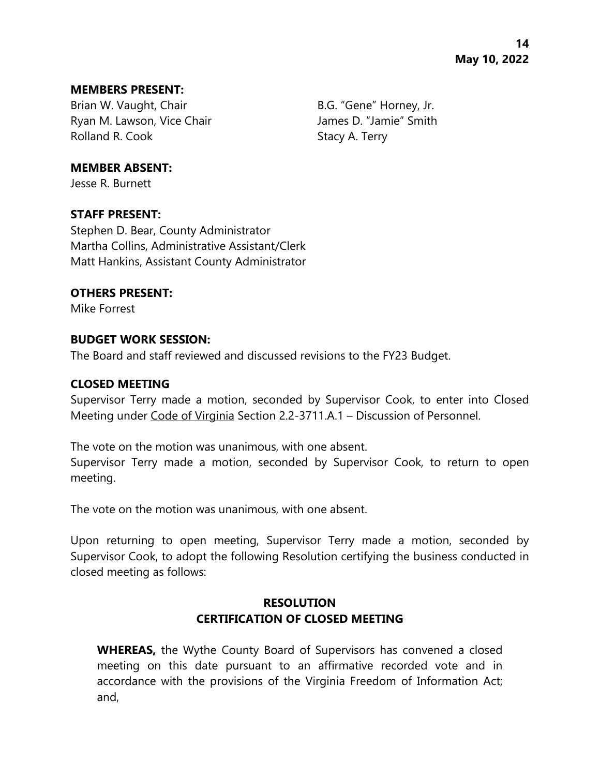#### **MEMBERS PRESENT:**

Brian W. Vaught, Chair B.G. "Gene" Horney, Jr. Ryan M. Lawson, Vice Chair **James D. "Jamie"** Smith Rolland R. Cook Stacy A. Terry

### **MEMBER ABSENT:**

Jesse R. Burnett

#### **STAFF PRESENT:**

Stephen D. Bear, County Administrator Martha Collins, Administrative Assistant/Clerk Matt Hankins, Assistant County Administrator

#### **OTHERS PRESENT:**

Mike Forrest

meeting.

### **BUDGET WORK SESSION:**

The Board and staff reviewed and discussed revisions to the FY23 Budget.

### **CLOSED MEETING**

Supervisor Terry made a motion, seconded by Supervisor Cook, to enter into Closed Meeting under Code of Virginia Section 2.2-3711.A.1 – Discussion of Personnel.

The vote on the motion was unanimous, with one absent. Supervisor Terry made a motion, seconded by Supervisor Cook, to return to open

The vote on the motion was unanimous, with one absent.

Upon returning to open meeting, Supervisor Terry made a motion, seconded by Supervisor Cook, to adopt the following Resolution certifying the business conducted in closed meeting as follows:

# **RESOLUTION CERTIFICATION OF CLOSED MEETING**

**WHEREAS,** the Wythe County Board of Supervisors has convened a closed meeting on this date pursuant to an affirmative recorded vote and in accordance with the provisions of the Virginia Freedom of Information Act; and,